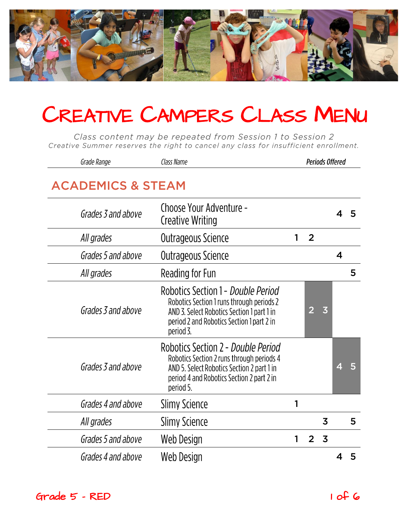

Class content may be repeated from Session 1 to Session 2 Creative Summer reserves the right to cancel any class for insufficient enrollment.

| Grade Range                  | Class Name                                                                                                                                                                              | <b>Periods Offered</b> |                |                         |                         |   |  |  |
|------------------------------|-----------------------------------------------------------------------------------------------------------------------------------------------------------------------------------------|------------------------|----------------|-------------------------|-------------------------|---|--|--|
| <b>ACADEMICS &amp; STEAM</b> |                                                                                                                                                                                         |                        |                |                         |                         |   |  |  |
| Grades 3 and above           | Choose Your Adventure -<br><b>Creative Writing</b>                                                                                                                                      |                        |                |                         | 4                       | 5 |  |  |
| All grades                   | Outrageous Science                                                                                                                                                                      |                        | $\overline{2}$ |                         |                         |   |  |  |
| Grades 5 and above           | Outrageous Science                                                                                                                                                                      |                        |                |                         | $\overline{\mathbf{4}}$ |   |  |  |
| All grades                   | Reading for Fun                                                                                                                                                                         |                        |                |                         |                         | 5 |  |  |
| Grades 3 and above           | Robotics Section 1 - Double Period<br>Robotics Section 1 runs through periods 2<br>AND 3. Select Robotics Section 1 part 1 in<br>period 2 and Robotics Section 1 part 2 in<br>period 3. |                        | 2              | $\overline{\mathbf{3}}$ |                         |   |  |  |
| Grades 3 and above           | Robotics Section 2 - Double Period<br>Robotics Section 2 runs through periods 4<br>AND 5. Select Robotics Section 2 part 1 in<br>period 4 and Robotics Section 2 part 2 in<br>period 5. |                        |                |                         | 4                       |   |  |  |
| Grades 4 and above           | <b>Slimy Science</b>                                                                                                                                                                    | 1                      |                |                         |                         |   |  |  |
| All grades                   | <b>Slimy Science</b>                                                                                                                                                                    |                        |                | 3                       |                         | 5 |  |  |
| Grades 5 and above           | Web Design                                                                                                                                                                              | 1                      | $\overline{2}$ | $\overline{3}$          |                         |   |  |  |
| Grades 4 and above           | Web Design                                                                                                                                                                              |                        |                |                         |                         | 5 |  |  |

Grade 5 - RED 1 of 6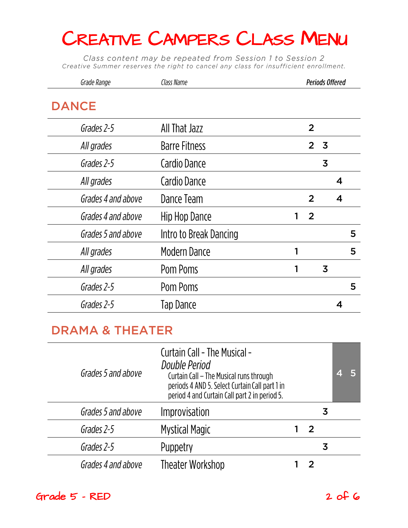Class content may be repeated from Session 1 to Session 2 Creative Summer reserves the right to cancel any class for insufficient enrollment.

| Class Name             |                |                |                         |                        |
|------------------------|----------------|----------------|-------------------------|------------------------|
|                        |                |                |                         |                        |
| All That Jazz          | $\overline{2}$ |                |                         |                        |
| <b>Barre Fitness</b>   | 2 <sup>1</sup> | 3              |                         |                        |
| Cardio Dance           |                | $\overline{3}$ |                         |                        |
| Cardio Dance           |                |                | $\boldsymbol{4}$        |                        |
| Dance Team             | $\overline{2}$ |                | $\overline{\mathbf{4}}$ |                        |
| Hip Hop Dance          | 2<br>1         |                |                         |                        |
| Intro to Break Dancing |                |                |                         | 5                      |
| <b>Modern Dance</b>    | 1              |                |                         | 5                      |
| Pom Poms               | 1              | $\overline{3}$ |                         |                        |
| Pom Poms               |                |                |                         | 5                      |
| Tap Dance              |                |                | 4                       |                        |
|                        |                |                |                         | <b>Periods Offered</b> |

#### **DRAMA & THEATER**

| Grades 5 and above | <b>Curtain Call - The Musical -</b><br>Double Period<br>Curtain Call – The Musical runs through<br>periods 4 AND 5. Select Curtain Call part 1 in<br>period 4 and Curtain Call part 2 in period 5. |    |   | 4 | 15 |
|--------------------|----------------------------------------------------------------------------------------------------------------------------------------------------------------------------------------------------|----|---|---|----|
| Grades 5 and above | Improvisation                                                                                                                                                                                      |    | 3 |   |    |
| Grades 2-5         | <b>Mystical Magic</b>                                                                                                                                                                              | -2 |   |   |    |
| Grades 2-5         | Puppetry                                                                                                                                                                                           |    | 3 |   |    |
| Grades 4 and above | <b>Theater Workshop</b>                                                                                                                                                                            |    |   |   |    |

Grade 5 - RED 2 of 6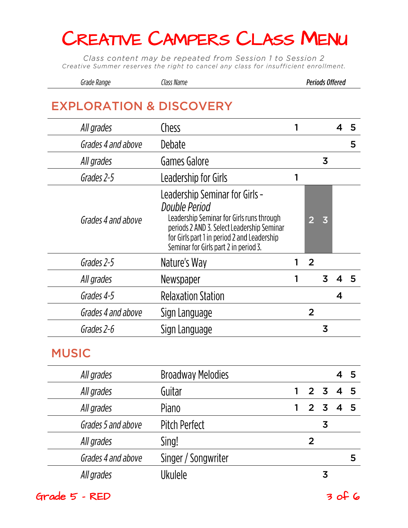Class content may be repeated from Session 1 to Session 2 Creative Summer reserves the right to cancel any class for insufficient enrollment.

| Grade Range | Class Name | Periods Offered |
|-------------|------------|-----------------|
|-------------|------------|-----------------|

| All grades         | Chess                                                                                                                                                                                                                              | 1 |                |                         | 4                       | 5 |
|--------------------|------------------------------------------------------------------------------------------------------------------------------------------------------------------------------------------------------------------------------------|---|----------------|-------------------------|-------------------------|---|
| Grades 4 and above | Debate                                                                                                                                                                                                                             |   |                |                         |                         | 5 |
| All grades         | Games Galore                                                                                                                                                                                                                       |   |                | 3                       |                         |   |
| Grades 2-5         | Leadership for Girls                                                                                                                                                                                                               | 1 |                |                         |                         |   |
| Grades 4 and above | Leadership Seminar for Girls -<br>Double Period<br>Leadership Seminar for Girls runs through<br>periods 2 AND 3. Select Leadership Seminar<br>for Girls part 1 in period 2 and Leadership<br>Seminar for Girls part 2 in period 3. |   | $\overline{2}$ | $\overline{3}$          |                         |   |
| Grades 2-5         | Nature's Way                                                                                                                                                                                                                       | 1 | $\overline{2}$ |                         |                         |   |
| All grades         | Newspaper                                                                                                                                                                                                                          | 1 |                | $\overline{3}$          | 4                       | 5 |
| Grades 4-5         | <b>Relaxation Station</b>                                                                                                                                                                                                          |   |                |                         | $\overline{\mathbf{4}}$ |   |
| Grades 4 and above | Sign Language                                                                                                                                                                                                                      |   | $\overline{2}$ |                         |                         |   |
| Grades 2-6         | Sign Language                                                                                                                                                                                                                      |   |                | $\overline{3}$          |                         |   |
| <b>MUSIC</b>       |                                                                                                                                                                                                                                    |   |                |                         |                         |   |
| All grades         | <b>Broadway Melodies</b>                                                                                                                                                                                                           |   |                |                         | 4                       | 5 |
| All grades         | Guitar                                                                                                                                                                                                                             | 1 | $\overline{2}$ | $\overline{\mathbf{3}}$ | 4                       | 5 |
| All grades         | Piano                                                                                                                                                                                                                              | 1 | $\overline{2}$ | $\overline{3}$          | $\overline{\mathbf{4}}$ | 5 |
| Grades 5 and above | Pitch Perfect                                                                                                                                                                                                                      |   |                | $\overline{3}$          |                         |   |
| All grades         | Sing!                                                                                                                                                                                                                              |   | $\overline{2}$ |                         |                         |   |
|                    |                                                                                                                                                                                                                                    |   |                |                         |                         |   |

Singer / Songwriter

**Ukulele** 

Grades 4 and above All grades

 $Grade$  5 - RED  $3$  of 6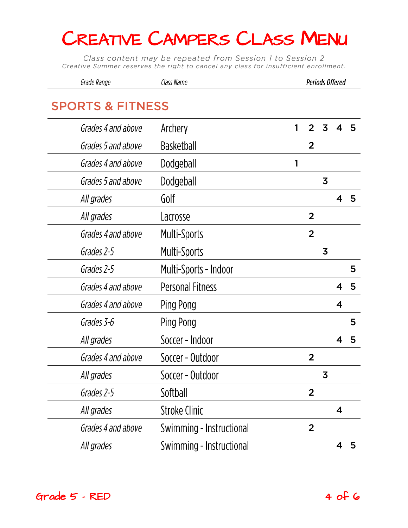Class content may be repeated from Session 1 to Session 2 Creative Summer reserves the right to cancel any class for insufficient enrollment.

| Grade Range                 | Class Name               |   |                |   | <b>Periods Offered</b>  |   |
|-----------------------------|--------------------------|---|----------------|---|-------------------------|---|
| <b>SPORTS &amp; FITNESS</b> |                          |   |                |   |                         |   |
|                             |                          |   |                |   |                         |   |
| Grades 4 and above          | Archery                  | 1 | 2              | 3 | 4                       | 5 |
| Grades 5 and above          | <b>Basketball</b>        |   | $\overline{2}$ |   |                         |   |
| Grades 4 and above          | Dodgeball                | 1 |                |   |                         |   |
| Grades 5 and above          | Dodgeball                |   |                | 3 |                         |   |
| All grades                  | Golf                     |   |                |   | 4                       | 5 |
| All grades                  | Lacrosse                 |   | $\overline{2}$ |   |                         |   |
| Grades 4 and above          | Multi-Sports             |   | $\overline{2}$ |   |                         |   |
| Grades 2-5                  | <b>Multi-Sports</b>      |   |                | 3 |                         |   |
| Grades 2-5                  | Multi-Sports - Indoor    |   |                |   |                         | 5 |
| Grades 4 and above          | <b>Personal Fitness</b>  |   |                |   | 4                       | 5 |
| Grades 4 and above          | Ping Pong                |   |                |   | $\overline{\mathbf{4}}$ |   |
| Grades 3-6                  | Ping Pong                |   |                |   |                         | 5 |
| All grades                  | Soccer - Indoor          |   |                |   | 4                       | 5 |
| Grades 4 and above          | Soccer - Outdoor         |   | $\overline{2}$ |   |                         |   |
| All grades                  | Soccer - Outdoor         |   |                | 3 |                         |   |
| Grades 2-5                  | Softball                 |   | $\overline{2}$ |   |                         |   |
| All grades                  | <b>Stroke Clinic</b>     |   |                |   | 4                       |   |
| Grades 4 and above          | Swimming - Instructional |   | $\overline{2}$ |   |                         |   |
| All grades                  | Swimming - Instructional |   |                |   |                         | 5 |

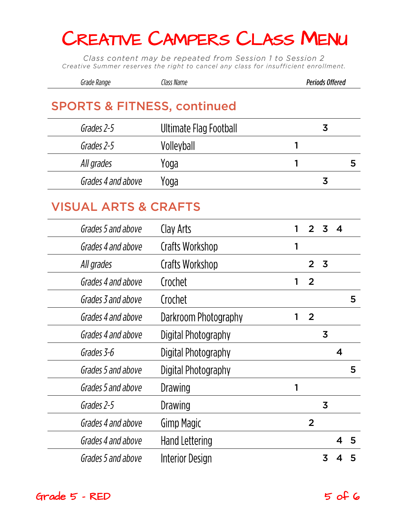Class content may be repeated from Session 1 to Session 2 Creative Summer reserves the right to cancel any class for insufficient enrollment.

| Grade Range                            | Class Name             | <b>Periods Offered</b> |  |
|----------------------------------------|------------------------|------------------------|--|
| <b>SPORTS &amp; FITNESS, continued</b> |                        |                        |  |
| Grades 2-5                             | Ultimate Flag Football | 3                      |  |
| Grades 2-5                             | Volleyball             |                        |  |
| All grades                             | Yoga                   |                        |  |
| Grades 4 and above                     | Yoqa                   | 3                      |  |
|                                        |                        |                        |  |

#### **VISUAL ARTS & CRAFTS**

| Grades 5 and above | Clay Arts             |   |                | 3              | $\boldsymbol{4}$ |   |
|--------------------|-----------------------|---|----------------|----------------|------------------|---|
| Grades 4 and above | Crafts Workshop       |   |                |                |                  |   |
| All grades         | Crafts Workshop       |   |                | 3              |                  |   |
| Grades 4 and above | Crochet               |   | $\overline{2}$ |                |                  |   |
| Grades 3 and above | Crochet               |   |                |                |                  | 5 |
| Grades 4 and above | Darkroom Photography  | 1 | $\overline{2}$ |                |                  |   |
| Grades 4 and above | Digital Photography   |   |                | 3              |                  |   |
| Grades 3-6         | Digital Photography   |   |                |                | $\boldsymbol{4}$ |   |
| Grades 5 and above | Digital Photography   |   |                |                |                  | 5 |
| Grades 5 and above | Drawing               |   |                |                |                  |   |
| Grades 2-5         | Drawing               |   |                | $\overline{3}$ |                  |   |
| Grades 4 and above | <b>Gimp Magic</b>     |   | $\overline{2}$ |                |                  |   |
| Grades 4 and above | <b>Hand Lettering</b> |   |                |                | Δ                | 5 |
| Grades 5 and above | Interior Design       |   |                | 3              |                  |   |
|                    |                       |   |                |                |                  |   |

 $Grade$  5 - RED  $5$  of 6